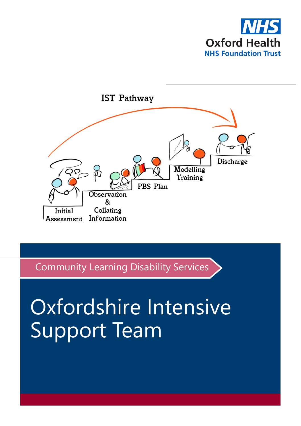



Community Learning Disability Services

# Oxfordshire Intensive Support Team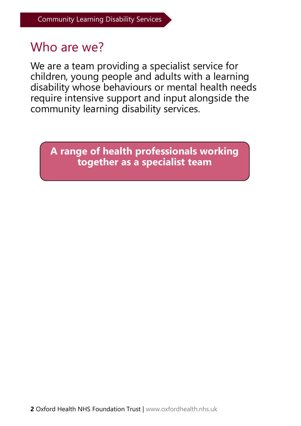#### Who are we?

We are a team providing a specialist service for children, young people and adults with a learning disability whose behaviours or mental health needs require intensive support and input alongside the community learning disability services.

**A range of health professionals working together as a specialist team**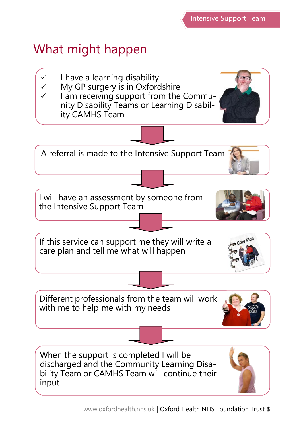## What might happen

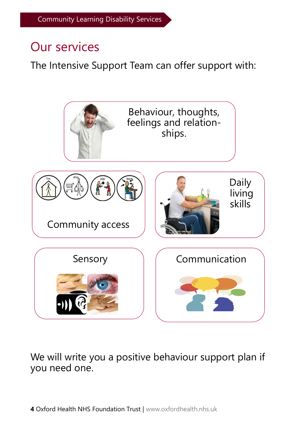#### Our services

The Intensive Support Team can offer support with:



We will write you a positive behaviour support plan if you need one.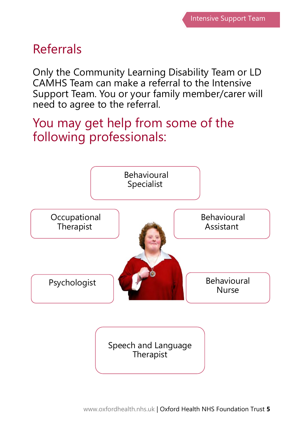## Referrals

Only the Community Learning Disability Team or LD CAMHS Team can make a referral to the Intensive Support Team. You or your family member/carer will need to agree to the referral.

#### You may get help from some of the following professionals:



Speech and Language **Therapist**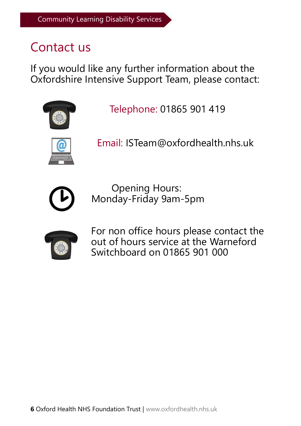## Contact us

If you would like any further information about the Oxfordshire Intensive Support Team, please contact:



Telephone: 01865 901 419



Email: ISTeam@oxfordhealth.nhs.uk



Opening Hours: Monday-Friday 9am-5pm



For non office hours please contact the out of hours service at the Warneford Switchboard on 01865 901 000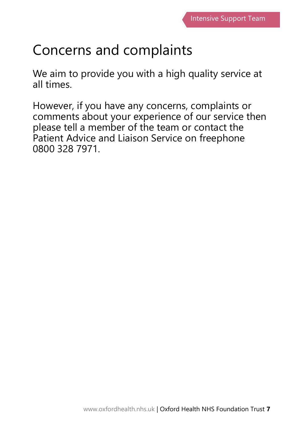# Concerns and complaints

We aim to provide you with a high quality service at all times.

However, if you have any concerns, complaints or comments about your experience of our service then please tell a member of the team or contact the Patient Advice and Liaison Service on freephone 0800 328 7971.